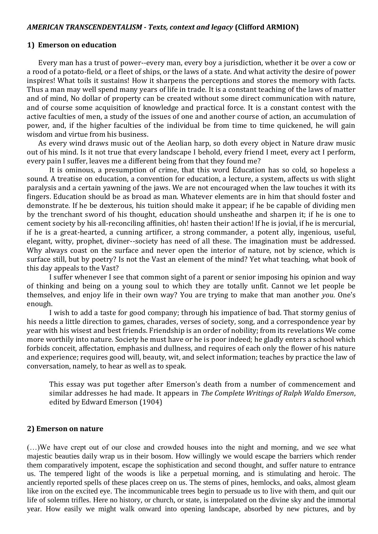#### *AMERICAN TRANSCENDENTALISM - Texts, context and legacy* **(Clifford ARMION)**

#### **1) Emerson on education**

Every man has a trust of power--every man, every boy a jurisdiction, whether it be over a cow or a rood of a potato-field, or a fleet of ships, or the laws of a state. And what activity the desire of power inspires! What toils it sustains! How it sharpens the perceptions and stores the memory with facts. Thus a man may well spend many years of life in trade. It is a constant teaching of the laws of matter and of mind, No dollar of property can be created without some direct communication with nature, and of course some acquisition of knowledge and practical force. It is a constant contest with the active faculties of men, a study of the issues of one and another course of action, an accumulation of power, and, if the higher faculties of the individual be from time to time quickened, he will gain wisdom and virtue from his business.

As every wind draws music out of the Aeolian harp, so doth every object in Nature draw music out of his mind. Is it not true that every landscape I behold, every friend I meet, every act I perform, every pain I suffer, leaves me a different being from that they found me?

It is ominous, a presumption of crime, that this word Education has so cold, so hopeless a sound. A treatise on education, a convention for education, a lecture, a system, affects us with slight paralysis and a certain yawning of the jaws. We are not encouraged when the law touches it with its fingers. Education should be as broad as man. Whatever elements are in him that should foster and demonstrate. If he be dexterous, his tuition should make it appear; if he be capable of dividing men by the trenchant sword of his thought, education should unsheathe and sharpen it; if he is one to cement society by his all-reconciling affinities, oh! hasten their action! If he is jovial, if he is mercurial, if he is a great-hearted, a cunning artificer, a strong commander, a potent ally, ingenious, useful, elegant, witty, prophet, diviner--society has need of all these. The imagination must be addressed. Why always coast on the surface and never open the interior of nature, not by science, which is surface still, but by poetry? Is not the Vast an element of the mind? Yet what teaching, what book of this day appeals to the Vast?

I suffer whenever I see that common sight of a parent or senior imposing his opinion and way of thinking and being on a young soul to which they are totally unfit. Cannot we let people be themselves, and enjoy life in their own way? You are trying to make that man another *you*. One's enough.

I wish to add a taste for good company; through his impatience of bad. That stormy genius of his needs a little direction to games, charades, verses of society, song, and a correspondence year by year with his wisest and best friends. Friendship is an order of nobility; from its revelations We come more worthily into nature. Society he must have or he is poor indeed; he gladly enters a school which forbids conceit, affectation, emphasis and dullness, and requires of each only the flower of his nature and experience; requires good will, beauty, wit, and select information; teaches by practice the law of conversation, namely, to hear as well as to speak.

This essay was put together after Emerson's death from a number of commencement and similar addresses he had made. It appears in *The Complete Writings of Ralph Waldo Emerson*, edited by Edward Emerson (1904)

#### **2) Emerson on nature**

(…)We have crept out of our close and crowded houses into the night and morning, and we see what majestic beauties daily wrap us in their bosom. How willingly we would escape the barriers which render them comparatively impotent, escape the sophistication and second thought, and suffer nature to entrance us. The tempered light of the woods is like a perpetual morning, and is stimulating and heroic. The anciently reported spells of these places creep on us. The stems of pines, hemlocks, and oaks, almost gleam like iron on the excited eye. The incommunicable trees begin to persuade us to live with them, and quit our life of solemn trifles. Here no history, or church, or state, is interpolated on the divine sky and the immortal year. How easily we might walk onward into opening landscape, absorbed by new pictures, and by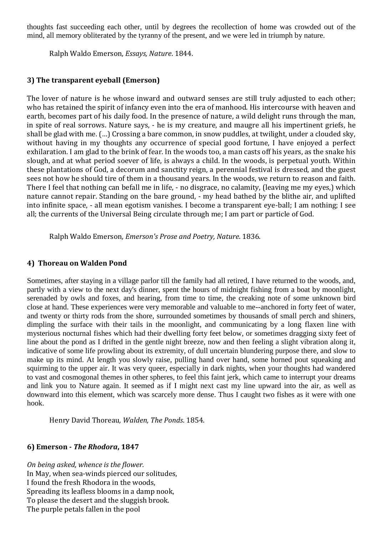thoughts fast succeeding each other, until by degrees the recollection of home was crowded out of the mind, all memory obliterated by the tyranny of the present, and we were led in triumph by nature.

Ralph Waldo Emerson*, Essays, Nature*. 1844.

# **3) The transparent eyeball (Emerson)**

The lover of nature is he whose inward and outward senses are still truly adjusted to each other; who has retained the spirit of infancy even into the era of manhood. His intercourse with heaven and earth, becomes part of his daily food. In the presence of nature, a wild delight runs through the man, in spite of real sorrows. Nature says, - he is my creature, and maugre all his impertinent griefs, he shall be glad with me. (…) Crossing a bare common, in snow puddles, at twilight, under a clouded sky, without having in my thoughts any occurrence of special good fortune, I have enjoyed a perfect exhilaration. I am glad to the brink of fear. In the woods too, a man casts off his years, as the snake his slough, and at what period soever of life, is always a child. In the woods, is perpetual youth. Within these plantations of God, a decorum and sanctity reign, a perennial festival is dressed, and the guest sees not how he should tire of them in a thousand years. In the woods, we return to reason and faith. There I feel that nothing can befall me in life, - no disgrace, no calamity, (leaving me my eyes,) which nature cannot repair. Standing on the bare ground, - my head bathed by the blithe air, and uplifted into infinite space, - all mean egotism vanishes. I become a transparent eye-ball; I am nothing; I see all; the currents of the Universal Being circulate through me; I am part or particle of God.

Ralph Waldo Emerson*, Emerson's Prose and Poetry, Nature*. 1836.

### **4) Thoreau on Walden Pond**

Sometimes, after staying in a village parlor till the family had all retired, I have returned to the woods, and, partly with a view to the next day's dinner, spent the hours of midnight fishing from a boat by moonlight, serenaded by owls and foxes, and hearing, from time to time, the creaking note of some unknown bird close at hand. These experiences were very memorable and valuable to me--anchored in forty feet of water, and twenty or thirty rods from the shore, surrounded sometimes by thousands of small perch and shiners, dimpling the surface with their tails in the moonlight, and communicating by a long flaxen line with mysterious nocturnal fishes which had their dwelling forty feet below, or sometimes dragging sixty feet of line about the pond as I drifted in the gentle night breeze, now and then feeling a slight vibration along it, indicative of some life prowling about its extremity, of dull uncertain blundering purpose there, and slow to make up its mind. At length you slowly raise, pulling hand over hand, some horned pout squeaking and squirming to the upper air. It was very queer, especially in dark nights, when your thoughts had wandered to vast and cosmogonal themes in other spheres, to feel this faint jerk, which came to interrupt your dreams and link you to Nature again. It seemed as if I might next cast my line upward into the air, as well as downward into this element, which was scarcely more dense. Thus I caught two fishes as it were with one hook.

Henry David Thoreau*, Walden, The Ponds*. 1854.

## **6) Emerson -** *The Rhodora***, 1847**

*On being asked, whence is the flower.*  In May, when sea-winds pierced our solitudes, I found the fresh Rhodora in the woods, Spreading its leafless blooms in a damp nook, To please the desert and the sluggish brook. The purple petals fallen in the pool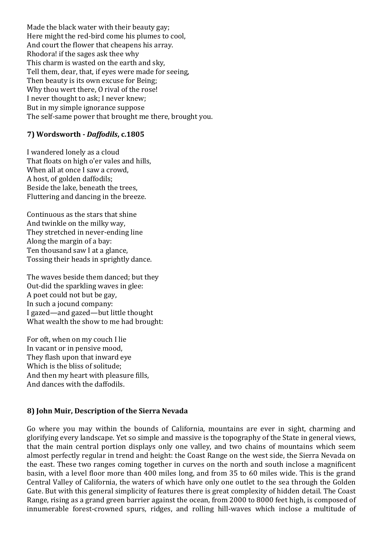Made the black water with their beauty gay; Here might the red-bird come his plumes to cool, And court the flower that cheapens his array. Rhodora! if the sages ask thee why This charm is wasted on the earth and sky, Tell them, dear, that, if eyes were made for seeing, Then beauty is its own excuse for Being; Why thou wert there, O rival of the rose! I never thought to ask; I never knew; But in my simple ignorance suppose The self-same power that brought me there, brought you.

# **7) Wordsworth -** *Daffodils***, c.1805**

I wandered lonely as a cloud That floats on high o'er vales and hills, When all at once I saw a crowd, A host, of golden daffodils; Beside the lake, beneath the trees, Fluttering and dancing in the breeze.

Continuous as the stars that shine And twinkle on the milky way, They stretched in never-ending line Along the margin of a bay: Ten thousand saw I at a glance, Tossing their heads in sprightly dance.

The waves beside them danced; but they Out-did the sparkling waves in glee: A poet could not but be gay, In such a jocund company: I gazed—and gazed—but little thought What wealth the show to me had brought:

For oft, when on my couch I lie In vacant or in pensive mood, They flash upon that inward eye Which is the bliss of solitude; And then my heart with pleasure fills, And dances with the daffodils.

## **8) John Muir, Description of the Sierra Nevada**

Go where you may within the bounds of California, mountains are ever in sight, charming and glorifying every landscape. Yet so simple and massive is the topography of the State in general views, that the main central portion displays only one valley, and two chains of mountains which seem almost perfectly regular in trend and height: the Coast Range on the west side, the Sierra Nevada on the east. These two ranges coming together in curves on the north and south inclose a magnificent basin, with a level floor more than 400 miles long, and from 35 to 60 miles wide. This is the grand Central Valley of California, the waters of which have only one outlet to the sea through the Golden Gate. But with this general simplicity of features there is great complexity of hidden detail. The Coast Range, rising as a grand green barrier against the ocean, from 2000 to 8000 feet high, is composed of innumerable forest-crowned spurs, ridges, and rolling hill-waves which inclose a multitude of